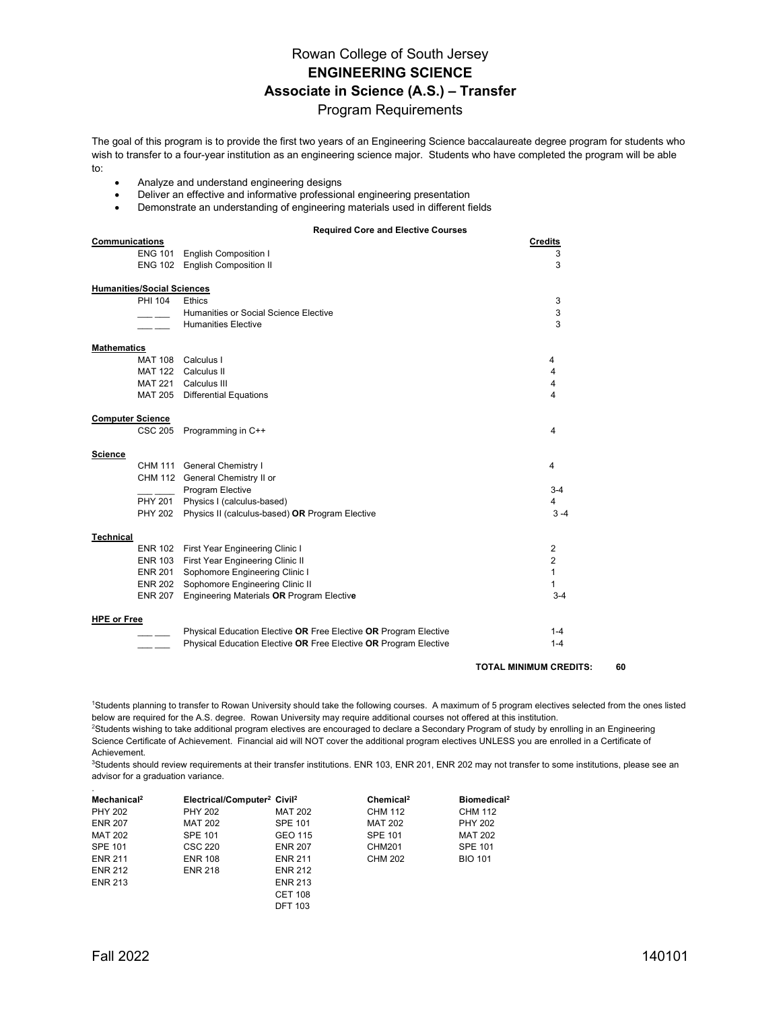## Rowan College of South Jersey **ENGINEERING SCIENCE Associate in Science (A.S.) – Transfer** Program Requirements

The goal of this program is to provide the first two years of an Engineering Science baccalaureate degree program for students who wish to transfer to a four-year institution as an engineering science major. Students who have completed the program will be able to:

- Analyze and understand engineering designs
- Deliver an effective and informative professional engineering presentation
- Demonstrate an understanding of engineering materials used in different fields

**Required Core and Elective Courses**

| Communications                    |                                                                  | <b>Credits</b>                      |
|-----------------------------------|------------------------------------------------------------------|-------------------------------------|
| <b>ENG 101</b>                    | <b>English Composition I</b>                                     | 3                                   |
|                                   | ENG 102 English Composition II                                   | 3                                   |
| <b>Humanities/Social Sciences</b> |                                                                  |                                     |
| PHI 104                           | <b>Ethics</b>                                                    | 3                                   |
|                                   | Humanities or Social Science Elective                            | 3                                   |
|                                   | <b>Humanities Elective</b>                                       | 3                                   |
| <b>Mathematics</b>                |                                                                  |                                     |
|                                   | MAT 108 Calculus I                                               | 4                                   |
|                                   | MAT 122 Calculus II                                              | 4                                   |
|                                   | MAT 221 Calculus III                                             | 4                                   |
|                                   | MAT 205 Differential Equations                                   | 4                                   |
| <b>Computer Science</b>           |                                                                  |                                     |
| CSC 205                           | Programming in C++                                               | 4                                   |
| Science                           |                                                                  |                                     |
|                                   | CHM 111 General Chemistry I                                      | 4                                   |
|                                   | CHM 112 General Chemistry II or                                  |                                     |
|                                   | Program Elective                                                 | $3 - 4$                             |
|                                   | PHY 201 Physics I (calculus-based)                               | $\overline{4}$                      |
| <b>PHY 202</b>                    | Physics II (calculus-based) OR Program Elective                  | $3 - 4$                             |
| <b>Technical</b>                  |                                                                  |                                     |
|                                   | ENR 102 First Year Engineering Clinic I                          | 2                                   |
|                                   | ENR 103 First Year Engineering Clinic II                         | 2                                   |
|                                   | ENR 201 Sophomore Engineering Clinic I                           | 1                                   |
|                                   | ENR 202 Sophomore Engineering Clinic II                          | 1                                   |
|                                   | ENR 207 Engineering Materials OR Program Elective                | $3 - 4$                             |
| <b>HPE or Free</b>                |                                                                  |                                     |
|                                   | Physical Education Elective OR Free Elective OR Program Elective | $1 - 4$                             |
|                                   | Physical Education Elective OR Free Elective OR Program Elective | $1 - 4$                             |
|                                   |                                                                  | 60<br><b>TOTAL MINIMUM CREDITS:</b> |

1 Students planning to transfer to Rowan University should take the following courses. A maximum of 5 program electives selected from the ones listed below are required for the A.S. degree. Rowan University may require additional courses not offered at this institution.

2 Students wishing to take additional program electives are encouraged to declare a Secondary Program of study by enrolling in an Engineering Science Certificate of Achievement. Financial aid will NOT cover the additional program electives UNLESS you are enrolled in a Certificate of Achievement.

3Students should review requirements at their transfer institutions. ENR 103, ENR 201, ENR 202 may not transfer to some institutions, please see an advisor for a graduation variance.

| Mechanical <sup>2</sup> | Electrical/Computer <sup>2</sup> Civil <sup>2</sup> |                | Chemical <sup>2</sup> | Biomedical <sup>2</sup> |
|-------------------------|-----------------------------------------------------|----------------|-----------------------|-------------------------|
| <b>PHY 202</b>          | <b>PHY 202</b>                                      | <b>MAT 202</b> | CHM 112               | CHM 112                 |
| <b>ENR 207</b>          | <b>MAT 202</b>                                      | <b>SPE 101</b> | <b>MAT 202</b>        | <b>PHY 202</b>          |
| <b>MAT 202</b>          | <b>SPE 101</b>                                      | GEO 115        | <b>SPE 101</b>        | <b>MAT 202</b>          |
| <b>SPE 101</b>          | <b>CSC 220</b>                                      | <b>ENR 207</b> | CHM201                | <b>SPE 101</b>          |
| <b>ENR 211</b>          | <b>ENR 108</b>                                      | <b>ENR 211</b> | CHM 202               | <b>BIO 101</b>          |
| <b>ENR 212</b>          | <b>ENR 218</b>                                      | <b>ENR 212</b> |                       |                         |
| <b>ENR 213</b>          |                                                     | <b>ENR 213</b> |                       |                         |
|                         |                                                     | <b>CET 108</b> |                       |                         |
|                         |                                                     | <b>DFT 103</b> |                       |                         |

.